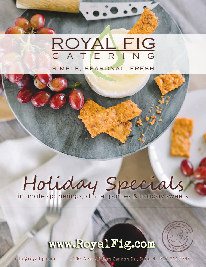# ROYAL FIG SIMPLE, SEASONAL, FRESH

# Holiday Specials

# www.RoyalFig.com



info@royalfig.com

2100 West William Cannon Dr., Suite H 512.814.9743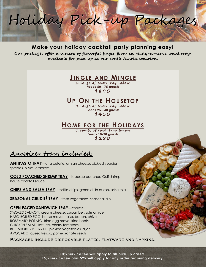

# Make your holiday cocktail party planning easy!

Our packages offer a variety of flavorful finger foods in ready-to-serve wood trays available for pick up at our south Austin location.

# JINGLE AND MINGLE

2 large of each tray below Feeds 50—75 guests  $$890$ 

# UP ON THE HOUSETOP

1 large of each tray below Feeds 25—40 guests  $$450$ 

# HOME FOR THE HOLIDAYS

1 small of each tray below Feeds 10-20 guests  $$280$ 

# <u>Appetizer trays included:</u>

ANTIPASTO TRAY—charcuterie, artisan cheese, pickled veggies, spreads, olives, crackers

COLD POACHED SHRIMP TRAY—tabasco poached Gulf shrimp, house cocktail sauce

CHIPS AND SALSA TRAY—tortilla chips, green chile queso, salsa roja

SEASONAL CRUDITÉ TRAY—fresh vegetables, seasonal dip

OPEN FACED SANDWICH TRAY—choose 3: SMOKED SALMON, cream cheese, cucumber, salmon roe HARD BOILED EGG, house mayonnaise, bacon, chive ROSEMARY POTATO, fried egg mayo, fried beets CHICKEN SALAD, lettuce, cherry tomatoes BEEF SHORT RIB TERRINE, pickled vegetables, dijon AVOCADO, queso fresco, pomegranate seeds

### Packages include disposable plates, flatware and napkins.

10% service fee will apply to all pick up orders. 15% service fee plus \$25 will apply for any order requiring delivery.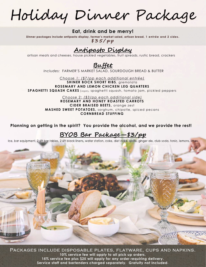Holiday Dinner Package

## Eat, drink and be merry!

Dinner packages include antipasto display, farmer's market salad, artisan bread, 1 entrée and 2 sides.  $$35/pp$ 

# <u>Antipasto Display</u>

artisan meats and cheeses, house pickled vegetables, fruit spreads, rustic bread, crackers

# <u> Buffet</u>

Includes: FARMER'S MARKET SALAD, SOURDOUGH BREAD & BUTTER

Choose 1: (\$7/pp each additional entrée) SHINER BOCK SHORT RIBS, aremolata ROSEMARY AND LEMON CHICKEN LEG QUARTERS SPAGHETTI SQUASH CAKES (vegan), spaghetti squash, tomato jam, pickled peppers

> Choose 2: (\$3/pp each additional side) ROSEMARY AND HONEY ROASTED CARROTS CIDER BRAISED BEETS, orange zest MASHED SWEET POTATOES, sorghum, chipotle, spiced pecans CORNBREAD STUFFING

Planning on getting in the spirit? You provide the alcohol, and we provide the rest!

BYOB Bar Package—\$3/pp<br>Ice, bar equipment, 2 6ft bar tables, 2 6ft black linens, water station, coke, diet coke, sprite, ginger ale, club soda, tonic, lemons, limes



Packages include disposable plates, flatware, cups and napkins. 10% service fee will apply to all pick up orders. 15% service fee plus \$25 will apply for any order requiring delivery. Service staff and bartenders charged separately. Gratuity not included.